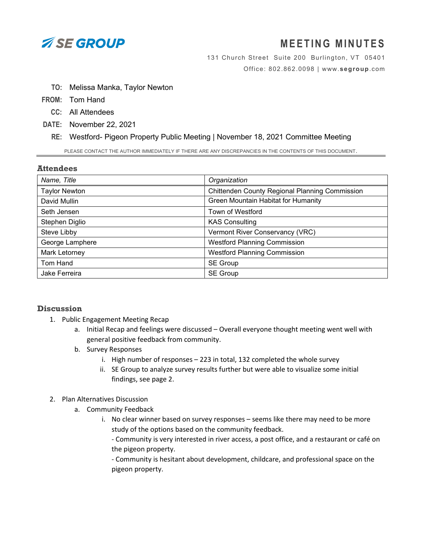

# **M EETING MINUTES**

131 Church Street Suite 200 Burlington, VT 05401 Office: 802.862.0098 | www.**[segroup](http://www.segroup.com/)**.com

- **TO:** Melissa Manka, Taylor Newton
- **FROM:** Tom Hand
	- **CC:** All Attendees
- **DATE:** November 22, 2021
	- **RE:** Westford- Pigeon Property Public Meeting | November 18, 2021 Committee Meeting

PLEASE CONTACT THE AUTHOR IMMEDIATELY IF THERE ARE ANY DISCREPANCIES IN THE CONTENTS OF THIS DOCUMENT.

#### **Attendees**

| Name, Title          | Organization                                   |
|----------------------|------------------------------------------------|
| <b>Taylor Newton</b> | Chittenden County Regional Planning Commission |
| David Mullin         | Green Mountain Habitat for Humanity            |
| Seth Jensen          | Town of Westford                               |
| Stephen Diglio       | <b>KAS Consulting</b>                          |
| Steve Libby          | Vermont River Conservancy (VRC)                |
| George Lamphere      | <b>Westford Planning Commission</b>            |
| Mark Letorney        | <b>Westford Planning Commission</b>            |
| Tom Hand             | SE Group                                       |
| Jake Ferreira        | <b>SE Group</b>                                |

## **Discussion**

- 1. Public Engagement Meeting Recap
	- a. Initial Recap and feelings were discussed Overall everyone thought meeting went well with general positive feedback from community.
	- b. Survey Responses
		- i. High number of responses 223 in total, 132 completed the whole survey
		- ii. SE Group to analyze survey results further but were able to visualize some initial findings, see page 2.

#### 2. Plan Alternatives Discussion

- a. Community Feedback
	- i. No clear winner based on survey responses seems like there may need to be more study of the options based on the community feedback.

- Community is very interested in river access, a post office, and a restaurant or café on the pigeon property.

- Community is hesitant about development, childcare, and professional space on the pigeon property.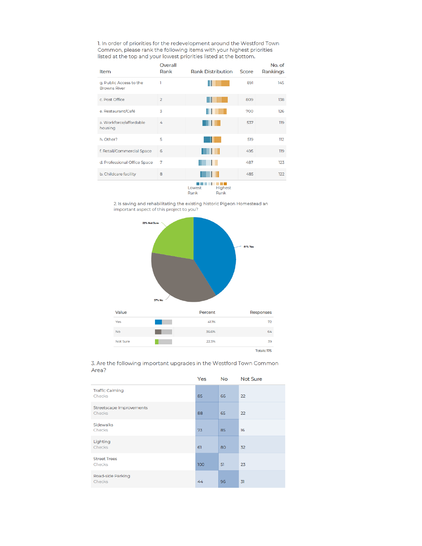1. In order of priorities for the redevelopment around the Westford Town Common, please rank the following items with your highest priorities listed at the top and your lowest priorities listed at the bottom.

| <b>Item</b>                                    | Overall<br>Rank | <b>Rank Distribution</b> | Score | No. of<br>Rankings |
|------------------------------------------------|-----------------|--------------------------|-------|--------------------|
| g. Public Access to the<br><b>Browns River</b> | 1               |                          | 891   | 145                |
| c. Post Office                                 | $\overline{2}$  |                          | 809   | 138                |
| e. Restaurant/Café                             | 3               |                          | 700   | 126                |
| a. Workforce/affordable<br>housing             | 4               |                          | 537   | 119                |
| h. Other?                                      | 5               |                          | 519   | 112                |
| f. Retail/Commercial Space                     | 6               |                          | 495   | 119                |
| d. Professional Office Space                   | 7               |                          | 487   | 123                |
| b. Childcare facility                          | 8               |                          | 485   | 122                |
|                                                |                 | Lowest<br>Highest        |       |                    |

Rank Rank

2. Is saving and rehabilitating the existing historic Pigeon Homestead an important aspect of this project to you?



3. Are the following important upgrades in the Westford Town Common Area?

|                                           | Yes | <b>No</b> | <b>Not Sure</b> |
|-------------------------------------------|-----|-----------|-----------------|
| <b>Traffic Calming</b><br>Checks          | 85  | 66        | 22              |
| Streetscape Improvements<br><b>Checks</b> | 88  | 65        | 22              |
| <b>Sidewalks</b><br>Checks                | 73  | 85        | 16              |
| Lighting<br>Checks                        | 61  | 80        | 32              |
| <b>Street Trees</b><br>Checks             | 100 | 51        | 23              |
| Road-side Parking<br>Checks               | 44  | 96        | 31              |